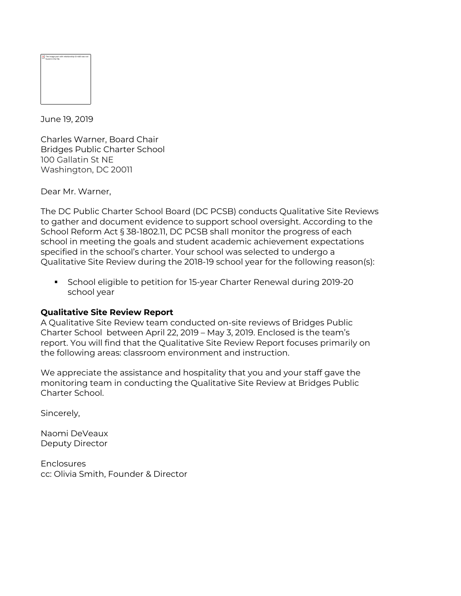June 19, 2019

Charles Warner, Board Chair Bridges Public Charter School 100 Gallatin St NE Washington, DC 20011

Dear Mr. Warner,

The DC Public Charter School Board (DC PCSB) conducts Qualitative Site Reviews to gather and document evidence to support school oversight. According to the School Reform Act § 38-1802.11, DC PCSB shall monitor the progress of each school in meeting the goals and student academic achievement expectations specified in the school's charter. Your school was selected to undergo a Qualitative Site Review during the 2018-19 school year for the following reason(s):

§ School eligible to petition for 15-year Charter Renewal during 2019-20 school year

# **Qualitative Site Review Report**

A Qualitative Site Review team conducted on-site reviews of Bridges Public Charter School between April 22, 2019 – May 3, 2019. Enclosed is the team's report. You will find that the Qualitative Site Review Report focuses primarily on the following areas: classroom environment and instruction.

We appreciate the assistance and hospitality that you and your staff gave the monitoring team in conducting the Qualitative Site Review at Bridges Public Charter School.

Sincerely,

Naomi DeVeaux Deputy Director

**Enclosures** cc: Olivia Smith, Founder & Director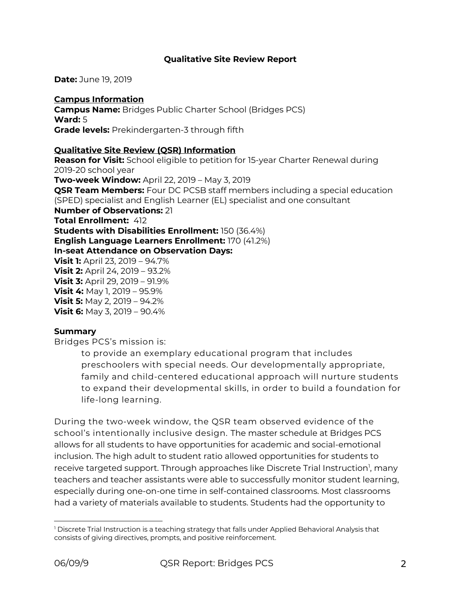## **Qualitative Site Review Report**

**Date:** June 19, 2019

### **Campus Information Campus Name:** Bridges Public Charter School (Bridges PCS) **Ward:** 5 **Grade levels:** Prekindergarten-3 through fifth

### **Qualitative Site Review (QSR) Information**

**Reason for Visit:** School eligible to petition for 15-year Charter Renewal during 2019-20 school year **Two-week Window:** April 22, 2019 – May 3, 2019 **QSR Team Members:** Four DC PCSB staff members including a special education (SPED) specialist and English Learner (EL) specialist and one consultant **Number of Observations:** 21 **Total Enrollment:** 412 **Students with Disabilities Enrollment:** 150 (36.4%) **English Language Learners Enrollment:** 170 (41.2%) **In-seat Attendance on Observation Days: Visit 1:** April 23, 2019 – 94.7% **Visit 2:** April 24, 2019 – 93.2% **Visit 3:** April 29, 2019 – 91.9% **Visit 4:** May 1, 2019 – 95.9% **Visit 5:** May 2, 2019 – 94.2% **Visit 6:** May 3, 2019 – 90.4%

### **Summary**

Bridges PCS's mission is:

to provide an exemplary educational program that includes preschoolers with special needs. Our developmentally appropriate, family and child-centered educational approach will nurture students to expand their developmental skills, in order to build a foundation for life-long learning.

During the two-week window, the QSR team observed evidence of the school's intentionally inclusive design. The master schedule at Bridges PCS allows for all students to have opportunities for academic and social-emotional inclusion. The high adult to student ratio allowed opportunities for students to receive targeted support. Through approaches like Discrete Trial Instruction<sup>1</sup>, many teachers and teacher assistants were able to successfully monitor student learning, especially during one-on-one time in self-contained classrooms. Most classrooms had a variety of materials available to students. Students had the opportunity to

 $\overline{a}$ <sup>1</sup> Discrete Trial Instruction is a teaching strategy that falls under Applied Behavioral Analysis that consists of giving directives, prompts, and positive reinforcement.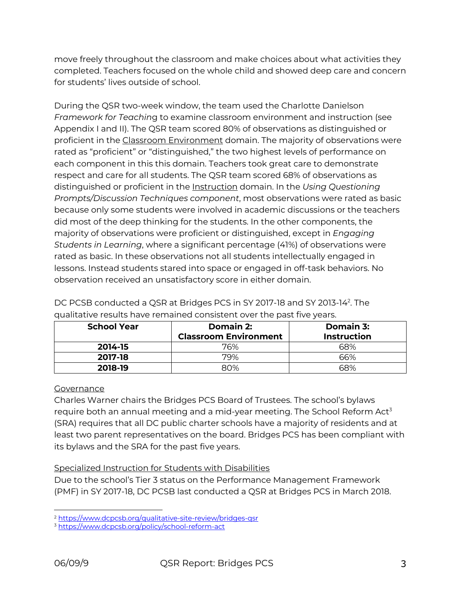move freely throughout the classroom and make choices about what activities they completed. Teachers focused on the whole child and showed deep care and concern for students' lives outside of school.

During the QSR two-week window, the team used the Charlotte Danielson *Framework for Teachin*g to examine classroom environment and instruction (see Appendix I and II). The QSR team scored 80% of observations as distinguished or proficient in the Classroom Environment domain. The majority of observations were rated as "proficient" or "distinguished," the two highest levels of performance on each component in this this domain. Teachers took great care to demonstrate respect and care for all students. The QSR team scored 68% of observations as distinguished or proficient in the Instruction domain. In the *Using Questioning Prompts/Discussion Techniques component*, most observations were rated as basic because only some students were involved in academic discussions or the teachers did most of the deep thinking for the students. In the other components, the majority of observations were proficient or distinguished, except in *Engaging Students in Learning*, where a significant percentage (41%) of observations were rated as basic. In these observations not all students intellectually engaged in lessons. Instead students stared into space or engaged in off-task behaviors. No observation received an unsatisfactory score in either domain.

| <b>School Year</b> | Domain 2:                    | Domain 3:          |
|--------------------|------------------------------|--------------------|
|                    | <b>Classroom Environment</b> | <b>Instruction</b> |
| 2014-15            | 76%                          | 68%                |
| 2017-18            | 79%                          | 66%                |
| 2018-19            | 80%                          | 68%                |

DC PCSB conducted a QSR at Bridges PCS in SY 2017-18 and SY 2013-142 . The qualitative results have remained consistent over the past five years.

# **Governance**

Charles Warner chairs the Bridges PCS Board of Trustees. The school's bylaws require both an annual meeting and a mid-year meeting. The School Reform  $Act^3$ (SRA) requires that all DC public charter schools have a majority of residents and at least two parent representatives on the board. Bridges PCS has been compliant with its bylaws and the SRA for the past five years.

# Specialized Instruction for Students with Disabilities

Due to the school's Tier 3 status on the Performance Management Framework (PMF) in SY 2017-18, DC PCSB last conducted a QSR at Bridges PCS in March 2018.

<sup>2</sup> https://www.dcpcsb.org/qualitative-site-review/bridges-qsr

<sup>3</sup> https://www.dcpcsb.org/policy/school-reform-act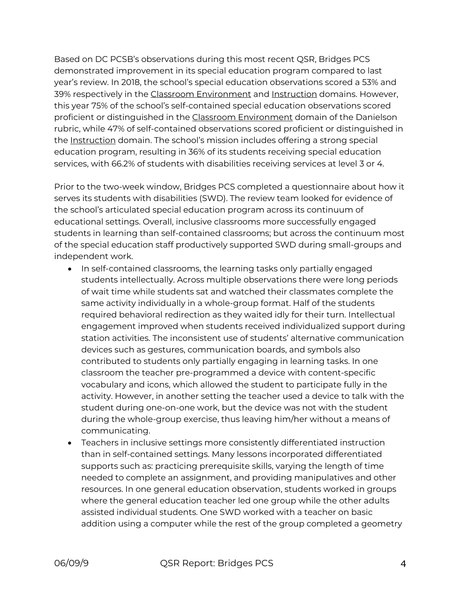Based on DC PCSB's observations during this most recent QSR, Bridges PCS demonstrated improvement in its special education program compared to last year's review. In 2018, the school's special education observations scored a 53% and 39% respectively in the Classroom Environment and Instruction domains. However, this year 75% of the school's self-contained special education observations scored proficient or distinguished in the Classroom Environment domain of the Danielson rubric, while 47% of self-contained observations scored proficient or distinguished in the Instruction domain. The school's mission includes offering a strong special education program, resulting in 36% of its students receiving special education services, with 66.2% of students with disabilities receiving services at level 3 or 4.

Prior to the two-week window, Bridges PCS completed a questionnaire about how it serves its students with disabilities (SWD). The review team looked for evidence of the school's articulated special education program across its continuum of educational settings. Overall, inclusive classrooms more successfully engaged students in learning than self-contained classrooms; but across the continuum most of the special education staff productively supported SWD during small-groups and independent work.

- In self-contained classrooms, the learning tasks only partially engaged students intellectually. Across multiple observations there were long periods of wait time while students sat and watched their classmates complete the same activity individually in a whole-group format. Half of the students required behavioral redirection as they waited idly for their turn. Intellectual engagement improved when students received individualized support during station activities. The inconsistent use of students' alternative communication devices such as gestures, communication boards, and symbols also contributed to students only partially engaging in learning tasks. In one classroom the teacher pre-programmed a device with content-specific vocabulary and icons, which allowed the student to participate fully in the activity. However, in another setting the teacher used a device to talk with the student during one-on-one work, but the device was not with the student during the whole-group exercise, thus leaving him/her without a means of communicating.
- Teachers in inclusive settings more consistently differentiated instruction than in self-contained settings. Many lessons incorporated differentiated supports such as: practicing prerequisite skills, varying the length of time needed to complete an assignment, and providing manipulatives and other resources. In one general education observation, students worked in groups where the general education teacher led one group while the other adults assisted individual students. One SWD worked with a teacher on basic addition using a computer while the rest of the group completed a geometry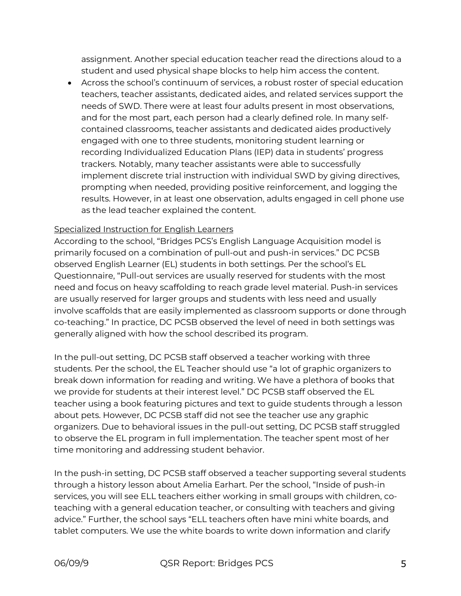assignment. Another special education teacher read the directions aloud to a student and used physical shape blocks to help him access the content.

• Across the school's continuum of services, a robust roster of special education teachers, teacher assistants, dedicated aides, and related services support the needs of SWD. There were at least four adults present in most observations, and for the most part, each person had a clearly defined role. In many selfcontained classrooms, teacher assistants and dedicated aides productively engaged with one to three students, monitoring student learning or recording Individualized Education Plans (IEP) data in students' progress trackers. Notably, many teacher assistants were able to successfully implement discrete trial instruction with individual SWD by giving directives, prompting when needed, providing positive reinforcement, and logging the results. However, in at least one observation, adults engaged in cell phone use as the lead teacher explained the content.

# Specialized Instruction for English Learners

According to the school, "Bridges PCS's English Language Acquisition model is primarily focused on a combination of pull-out and push-in services." DC PCSB observed English Learner (EL) students in both settings. Per the school's EL Questionnaire, "Pull-out services are usually reserved for students with the most need and focus on heavy scaffolding to reach grade level material. Push-in services are usually reserved for larger groups and students with less need and usually involve scaffolds that are easily implemented as classroom supports or done through co-teaching." In practice, DC PCSB observed the level of need in both settings was generally aligned with how the school described its program.

In the pull-out setting, DC PCSB staff observed a teacher working with three students. Per the school, the EL Teacher should use "a lot of graphic organizers to break down information for reading and writing. We have a plethora of books that we provide for students at their interest level." DC PCSB staff observed the EL teacher using a book featuring pictures and text to guide students through a lesson about pets. However, DC PCSB staff did not see the teacher use any graphic organizers. Due to behavioral issues in the pull-out setting, DC PCSB staff struggled to observe the EL program in full implementation. The teacher spent most of her time monitoring and addressing student behavior.

In the push-in setting, DC PCSB staff observed a teacher supporting several students through a history lesson about Amelia Earhart. Per the school, "Inside of push-in services, you will see ELL teachers either working in small groups with children, coteaching with a general education teacher, or consulting with teachers and giving advice." Further, the school says "ELL teachers often have mini white boards, and tablet computers. We use the white boards to write down information and clarify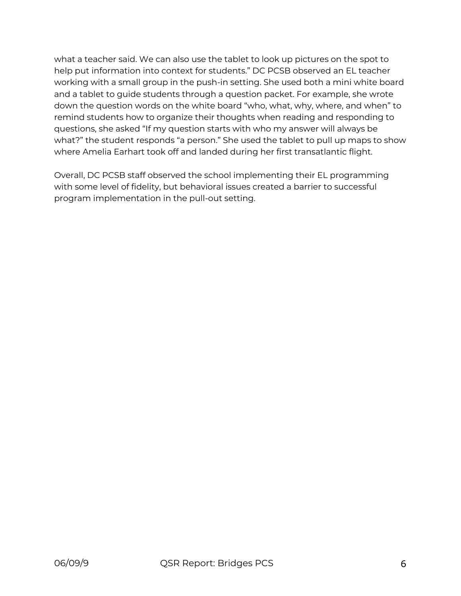what a teacher said. We can also use the tablet to look up pictures on the spot to help put information into context for students." DC PCSB observed an EL teacher working with a small group in the push-in setting. She used both a mini white board and a tablet to guide students through a question packet. For example, she wrote down the question words on the white board "who, what, why, where, and when" to remind students how to organize their thoughts when reading and responding to questions, she asked "If my question starts with who my answer will always be what?" the student responds "a person." She used the tablet to pull up maps to show where Amelia Earhart took off and landed during her first transatlantic flight.

Overall, DC PCSB staff observed the school implementing their EL programming with some level of fidelity, but behavioral issues created a barrier to successful program implementation in the pull-out setting.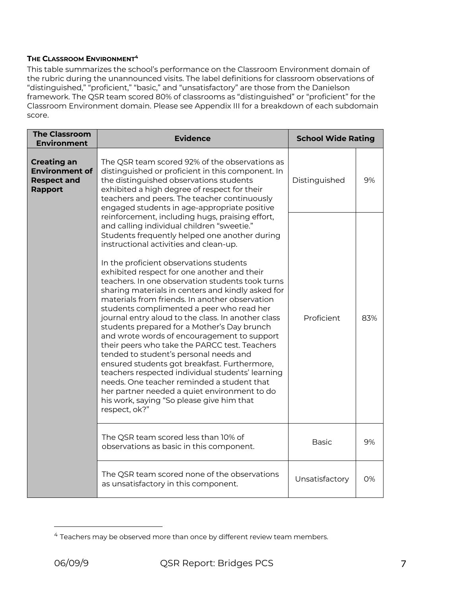### **THE CLASSROOM ENVIRONMENT4**

This table summarizes the school's performance on the Classroom Environment domain of the rubric during the unannounced visits. The label definitions for classroom observations of "distinguished," "proficient," "basic," and "unsatisfactory" are those from the Danielson framework. The QSR team scored 80% of classrooms as "distinguished" or "proficient" for the Classroom Environment domain. Please see Appendix III for a breakdown of each subdomain score.

| <b>The Classroom</b><br><b>Environment</b>                                          | <b>Evidence</b>                                                                                                                                                                                                                                                                                                                                                                                                                                                                                                                                                                                                                                                                                                                                                                                                                                                                                                                                                                                           | <b>School Wide Rating</b> |     |
|-------------------------------------------------------------------------------------|-----------------------------------------------------------------------------------------------------------------------------------------------------------------------------------------------------------------------------------------------------------------------------------------------------------------------------------------------------------------------------------------------------------------------------------------------------------------------------------------------------------------------------------------------------------------------------------------------------------------------------------------------------------------------------------------------------------------------------------------------------------------------------------------------------------------------------------------------------------------------------------------------------------------------------------------------------------------------------------------------------------|---------------------------|-----|
| <b>Creating an</b><br><b>Environment of</b><br><b>Respect and</b><br><b>Rapport</b> | The QSR team scored 92% of the observations as<br>distinguished or proficient in this component. In<br>the distinguished observations students<br>exhibited a high degree of respect for their<br>teachers and peers. The teacher continuously<br>engaged students in age-appropriate positive                                                                                                                                                                                                                                                                                                                                                                                                                                                                                                                                                                                                                                                                                                            | Distinguished             | 9%  |
|                                                                                     | reinforcement, including hugs, praising effort,<br>and calling individual children "sweetie."<br>Students frequently helped one another during<br>instructional activities and clean-up.<br>In the proficient observations students<br>exhibited respect for one another and their<br>teachers. In one observation students took turns<br>sharing materials in centers and kindly asked for<br>materials from friends. In another observation<br>students complimented a peer who read her<br>journal entry aloud to the class. In another class<br>students prepared for a Mother's Day brunch<br>and wrote words of encouragement to support<br>their peers who take the PARCC test. Teachers<br>tended to student's personal needs and<br>ensured students got breakfast. Furthermore,<br>teachers respected individual students' learning<br>needs. One teacher reminded a student that<br>her partner needed a quiet environment to do<br>his work, saying "So please give him that<br>respect, ok?" | Proficient                | 83% |
|                                                                                     | The QSR team scored less than 10% of<br>observations as basic in this component.                                                                                                                                                                                                                                                                                                                                                                                                                                                                                                                                                                                                                                                                                                                                                                                                                                                                                                                          | <b>Basic</b>              | 9%  |
|                                                                                     | The QSR team scored none of the observations<br>as unsatisfactory in this component.                                                                                                                                                                                                                                                                                                                                                                                                                                                                                                                                                                                                                                                                                                                                                                                                                                                                                                                      | Unsatisfactory            | 0%  |

<sup>&</sup>lt;sup>4</sup> Teachers may be observed more than once by different review team members.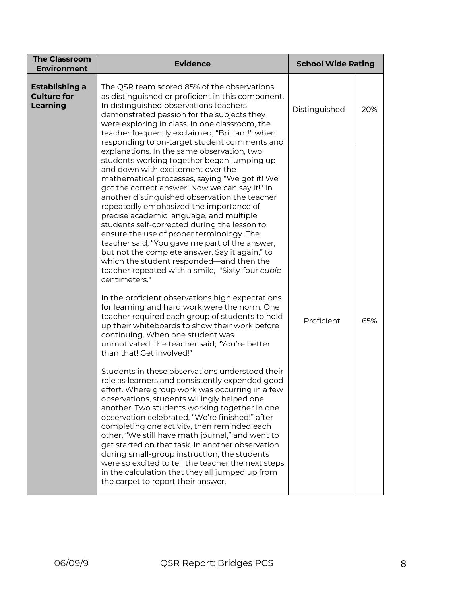| <b>The Classroom</b><br><b>Environment</b>              | <b>Evidence</b>                                                                                                                                                                                                                                                                                                                                                                                                                                                                                                                                                                                                                                                                                                                                                                                                                                                                                                                                                                                                                                                                                                                                                                                                                                                                                                                                                                                                                                                                                                                                                                                                                                                                         | <b>School Wide Rating</b> |     |
|---------------------------------------------------------|-----------------------------------------------------------------------------------------------------------------------------------------------------------------------------------------------------------------------------------------------------------------------------------------------------------------------------------------------------------------------------------------------------------------------------------------------------------------------------------------------------------------------------------------------------------------------------------------------------------------------------------------------------------------------------------------------------------------------------------------------------------------------------------------------------------------------------------------------------------------------------------------------------------------------------------------------------------------------------------------------------------------------------------------------------------------------------------------------------------------------------------------------------------------------------------------------------------------------------------------------------------------------------------------------------------------------------------------------------------------------------------------------------------------------------------------------------------------------------------------------------------------------------------------------------------------------------------------------------------------------------------------------------------------------------------------|---------------------------|-----|
| Establishing a<br><b>Culture for</b><br><b>Learning</b> | The QSR team scored 85% of the observations<br>as distinguished or proficient in this component.<br>In distinguished observations teachers<br>demonstrated passion for the subjects they<br>were exploring in class. In one classroom, the<br>teacher frequently exclaimed, "Brilliant!" when<br>responding to on-target student comments and                                                                                                                                                                                                                                                                                                                                                                                                                                                                                                                                                                                                                                                                                                                                                                                                                                                                                                                                                                                                                                                                                                                                                                                                                                                                                                                                           | Distinguished             | 20% |
|                                                         | explanations. In the same observation, two<br>students working together began jumping up<br>and down with excitement over the<br>mathematical processes, saying "We got it! We<br>got the correct answer! Now we can say it!" In<br>another distinguished observation the teacher<br>repeatedly emphasized the importance of<br>precise academic language, and multiple<br>students self-corrected during the lesson to<br>ensure the use of proper terminology. The<br>teacher said, "You gave me part of the answer,<br>but not the complete answer. Say it again," to<br>which the student responded—and then the<br>teacher repeated with a smile, "Sixty-four cubic<br>centimeters."<br>In the proficient observations high expectations<br>for learning and hard work were the norm. One<br>teacher required each group of students to hold<br>up their whiteboards to show their work before<br>continuing. When one student was<br>unmotivated, the teacher said, "You're better<br>than that! Get involved!"<br>Students in these observations understood their<br>role as learners and consistently expended good<br>effort. Where group work was occurring in a few<br>observations, students willingly helped one<br>another. Two students working together in one<br>observation celebrated, "We're finished!" after<br>completing one activity, then reminded each<br>other, "We still have math journal," and went to<br>get started on that task. In another observation<br>during small-group instruction, the students<br>were so excited to tell the teacher the next steps<br>in the calculation that they all jumped up from<br>the carpet to report their answer. | Proficient                | 65% |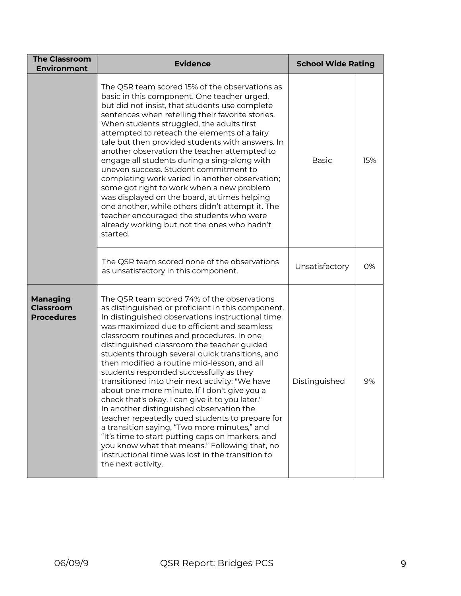| <b>The Classroom</b><br><b>Environment</b>        | <b>Evidence</b>                                                                                                                                                                                                                                                                                                                                                                                                                                                                                                                                                                                                                                                                                                                                                                                                                                                                                                                 | <b>School Wide Rating</b> |     |
|---------------------------------------------------|---------------------------------------------------------------------------------------------------------------------------------------------------------------------------------------------------------------------------------------------------------------------------------------------------------------------------------------------------------------------------------------------------------------------------------------------------------------------------------------------------------------------------------------------------------------------------------------------------------------------------------------------------------------------------------------------------------------------------------------------------------------------------------------------------------------------------------------------------------------------------------------------------------------------------------|---------------------------|-----|
|                                                   | The QSR team scored 15% of the observations as<br>basic in this component. One teacher urged,<br>but did not insist, that students use complete<br>sentences when retelling their favorite stories.<br>When students struggled, the adults first<br>attempted to reteach the elements of a fairy<br>tale but then provided students with answers. In<br>another observation the teacher attempted to<br>engage all students during a sing-along with<br>uneven success. Student commitment to<br>completing work varied in another observation;<br>some got right to work when a new problem<br>was displayed on the board, at times helping<br>one another, while others didn't attempt it. The<br>teacher encouraged the students who were<br>already working but not the ones who hadn't<br>started.                                                                                                                         | <b>Basic</b>              | 15% |
|                                                   | The QSR team scored none of the observations<br>as unsatisfactory in this component.                                                                                                                                                                                                                                                                                                                                                                                                                                                                                                                                                                                                                                                                                                                                                                                                                                            | Unsatisfactory            | 0%  |
| Managing<br><b>Classroom</b><br><b>Procedures</b> | The QSR team scored 74% of the observations<br>as distinguished or proficient in this component.<br>In distinguished observations instructional time<br>was maximized due to efficient and seamless<br>classroom routines and procedures. In one<br>distinguished classroom the teacher guided<br>students through several quick transitions, and<br>then modified a routine mid-lesson, and all<br>students responded successfully as they<br>transitioned into their next activity: "We have<br>about one more minute. If I don't give you a<br>check that's okay, I can give it to you later."<br>In another distinguished observation the<br>teacher repeatedly cued students to prepare for<br>a transition saying, "Two more minutes," and<br>"It's time to start putting caps on markers, and<br>you know what that means." Following that, no<br>instructional time was lost in the transition to<br>the next activity. | Distinguished             | 9%  |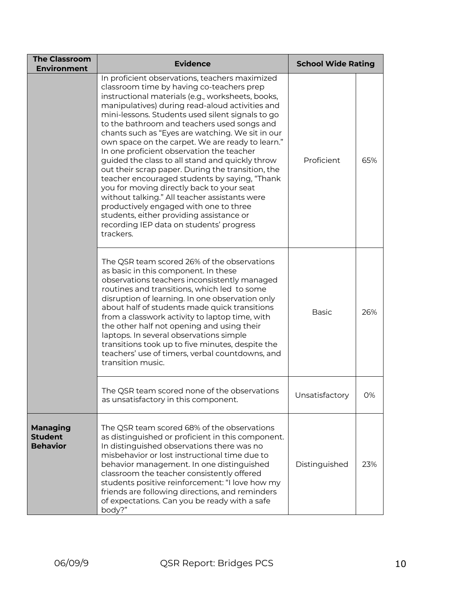| <b>The Classroom</b><br><b>Environment</b>           | <b>Evidence</b>                                                                                                                                                                                                                                                                                                                                                                                                                                                                                                                                                                                                                                                                                                                                                                                                                                                   | <b>School Wide Rating</b> |     |
|------------------------------------------------------|-------------------------------------------------------------------------------------------------------------------------------------------------------------------------------------------------------------------------------------------------------------------------------------------------------------------------------------------------------------------------------------------------------------------------------------------------------------------------------------------------------------------------------------------------------------------------------------------------------------------------------------------------------------------------------------------------------------------------------------------------------------------------------------------------------------------------------------------------------------------|---------------------------|-----|
|                                                      | In proficient observations, teachers maximized<br>classroom time by having co-teachers prep<br>instructional materials (e.g., worksheets, books,<br>manipulatives) during read-aloud activities and<br>mini-lessons. Students used silent signals to go<br>to the bathroom and teachers used songs and<br>chants such as "Eyes are watching. We sit in our<br>own space on the carpet. We are ready to learn."<br>In one proficient observation the teacher<br>guided the class to all stand and quickly throw<br>out their scrap paper. During the transition, the<br>teacher encouraged students by saying, "Thank<br>you for moving directly back to your seat<br>without talking." All teacher assistants were<br>productively engaged with one to three<br>students, either providing assistance or<br>recording IEP data on students' progress<br>trackers. | Proficient                | 65% |
|                                                      | The QSR team scored 26% of the observations<br>as basic in this component. In these<br>observations teachers inconsistently managed<br>routines and transitions, which led to some<br>disruption of learning. In one observation only<br>about half of students made quick transitions<br>from a classwork activity to laptop time, with<br>the other half not opening and using their<br>laptops. In several observations simple<br>transitions took up to five minutes, despite the<br>teachers' use of timers, verbal countdowns, and<br>transition music.                                                                                                                                                                                                                                                                                                     | <b>Basic</b>              | 26% |
|                                                      | The OSR team scored none of the observations<br>as unsatisfactory in this component.                                                                                                                                                                                                                                                                                                                                                                                                                                                                                                                                                                                                                                                                                                                                                                              | Unsatisfactory            | 0%  |
| <b>Managing</b><br><b>Student</b><br><b>Behavior</b> | The QSR team scored 68% of the observations<br>as distinguished or proficient in this component.<br>In distinguished observations there was no<br>misbehavior or lost instructional time due to<br>behavior management. In one distinguished<br>classroom the teacher consistently offered<br>students positive reinforcement: "I love how my<br>friends are following directions, and reminders<br>of expectations. Can you be ready with a safe<br>body?"                                                                                                                                                                                                                                                                                                                                                                                                       | Distinguished             | 23% |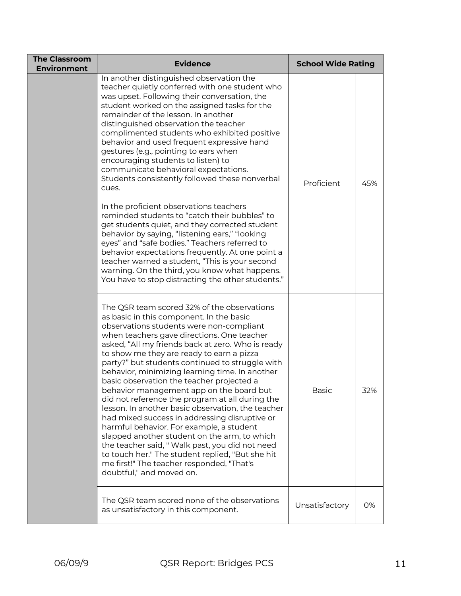| <b>The Classroom</b><br><b>Environment</b> | <b>Evidence</b>                                                                                                                                                                                                                                                                                                                                                                                                                                                                                                                                                                                                                                                                                                                                                                                                                                                                                                                                                                                                         | <b>School Wide Rating</b> |     |
|--------------------------------------------|-------------------------------------------------------------------------------------------------------------------------------------------------------------------------------------------------------------------------------------------------------------------------------------------------------------------------------------------------------------------------------------------------------------------------------------------------------------------------------------------------------------------------------------------------------------------------------------------------------------------------------------------------------------------------------------------------------------------------------------------------------------------------------------------------------------------------------------------------------------------------------------------------------------------------------------------------------------------------------------------------------------------------|---------------------------|-----|
|                                            | In another distinguished observation the<br>teacher quietly conferred with one student who<br>was upset. Following their conversation, the<br>student worked on the assigned tasks for the<br>remainder of the lesson. In another<br>distinguished observation the teacher<br>complimented students who exhibited positive<br>behavior and used frequent expressive hand<br>gestures (e.g., pointing to ears when<br>encouraging students to listen) to<br>communicate behavioral expectations.<br>Students consistently followed these nonverbal<br>cues.<br>In the proficient observations teachers<br>reminded students to "catch their bubbles" to<br>get students quiet, and they corrected student<br>behavior by saying, "listening ears," "looking<br>eyes" and "safe bodies." Teachers referred to<br>behavior expectations frequently. At one point a<br>teacher warned a student, "This is your second<br>warning. On the third, you know what happens.<br>You have to stop distracting the other students." | Proficient                | 45% |
|                                            | The QSR team scored 32% of the observations<br>as basic in this component. In the basic<br>observations students were non-compliant<br>when teachers gave directions. One teacher<br>asked, "All my friends back at zero. Who is ready<br>to show me they are ready to earn a pizza<br>party?" but students continued to struggle with<br>behavior, minimizing learning time. In another<br>basic observation the teacher projected a<br>behavior management app on the board but<br>did not reference the program at all during the<br>lesson. In another basic observation, the teacher<br>had mixed success in addressing disruptive or<br>harmful behavior. For example, a student<br>slapped another student on the arm, to which<br>the teacher said, "Walk past, you did not need<br>to touch her." The student replied, "But she hit<br>me first!" The teacher responded, "That's<br>doubtful," and moved on.                                                                                                   | Basic                     | 32% |
|                                            | The QSR team scored none of the observations<br>as unsatisfactory in this component.                                                                                                                                                                                                                                                                                                                                                                                                                                                                                                                                                                                                                                                                                                                                                                                                                                                                                                                                    | Unsatisfactory            | 0%  |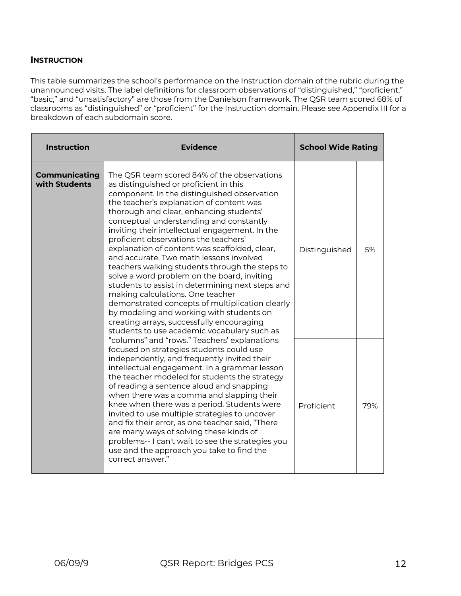## **INSTRUCTION**

This table summarizes the school's performance on the Instruction domain of the rubric during the unannounced visits. The label definitions for classroom observations of "distinguished," "proficient," "basic," and "unsatisfactory" are those from the Danielson framework. The QSR team scored 68% of classrooms as "distinguished" or "proficient" for the Instruction domain. Please see Appendix III for a breakdown of each subdomain score.

| <b>Instruction</b>                    | <b>Evidence</b>                                                                                                                                                                                                                                                                                                                                                                                                                                                                                                                                                                                                                                                                                                                                                                                                                                   | <b>School Wide Rating</b> |     |
|---------------------------------------|---------------------------------------------------------------------------------------------------------------------------------------------------------------------------------------------------------------------------------------------------------------------------------------------------------------------------------------------------------------------------------------------------------------------------------------------------------------------------------------------------------------------------------------------------------------------------------------------------------------------------------------------------------------------------------------------------------------------------------------------------------------------------------------------------------------------------------------------------|---------------------------|-----|
| <b>Communicating</b><br>with Students | The QSR team scored 84% of the observations<br>as distinguished or proficient in this<br>component. In the distinguished observation<br>the teacher's explanation of content was<br>thorough and clear, enhancing students'<br>conceptual understanding and constantly<br>inviting their intellectual engagement. In the<br>proficient observations the teachers'<br>explanation of content was scaffolded, clear,<br>and accurate. Two math lessons involved<br>teachers walking students through the steps to<br>solve a word problem on the board, inviting<br>students to assist in determining next steps and<br>making calculations. One teacher<br>demonstrated concepts of multiplication clearly<br>by modeling and working with students on<br>creating arrays, successfully encouraging<br>students to use academic vocabulary such as | Distinguished             | 5%  |
|                                       | "columns" and "rows." Teachers' explanations<br>focused on strategies students could use<br>independently, and frequently invited their<br>intellectual engagement. In a grammar lesson<br>the teacher modeled for students the strategy<br>of reading a sentence aloud and snapping<br>when there was a comma and slapping their<br>knee when there was a period. Students were<br>invited to use multiple strategies to uncover<br>and fix their error, as one teacher said, "There<br>are many ways of solving these kinds of<br>problems-- I can't wait to see the strategies you<br>use and the approach you take to find the<br>correct answer."                                                                                                                                                                                            | Proficient                | 79% |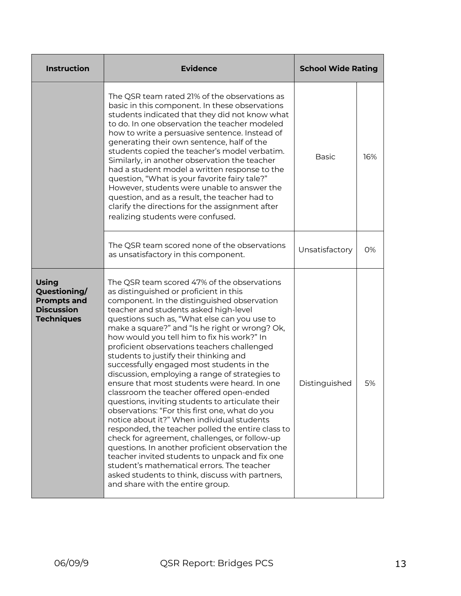| <b>Instruction</b>                                                                           | <b>Evidence</b>                                                                                                                                                                                                                                                                                                                                                                                                                                                                                                                                                                                                                                                                                                                                                                                                                                                                                                                                                                                                                                                                                                         | <b>School Wide Rating</b> |     |
|----------------------------------------------------------------------------------------------|-------------------------------------------------------------------------------------------------------------------------------------------------------------------------------------------------------------------------------------------------------------------------------------------------------------------------------------------------------------------------------------------------------------------------------------------------------------------------------------------------------------------------------------------------------------------------------------------------------------------------------------------------------------------------------------------------------------------------------------------------------------------------------------------------------------------------------------------------------------------------------------------------------------------------------------------------------------------------------------------------------------------------------------------------------------------------------------------------------------------------|---------------------------|-----|
|                                                                                              | The QSR team rated 21% of the observations as<br>basic in this component. In these observations<br>students indicated that they did not know what<br>to do. In one observation the teacher modeled<br>how to write a persuasive sentence. Instead of<br>generating their own sentence, half of the<br>students copied the teacher's model verbatim.<br>Similarly, in another observation the teacher<br>had a student model a written response to the<br>question, "What is your favorite fairy tale?"<br>However, students were unable to answer the<br>question, and as a result, the teacher had to<br>clarify the directions for the assignment after<br>realizing students were confused.                                                                                                                                                                                                                                                                                                                                                                                                                          | <b>Basic</b>              | 16% |
|                                                                                              | The QSR team scored none of the observations<br>as unsatisfactory in this component.                                                                                                                                                                                                                                                                                                                                                                                                                                                                                                                                                                                                                                                                                                                                                                                                                                                                                                                                                                                                                                    | Unsatisfactory            | 0%  |
| <b>Using</b><br>Questioning/<br><b>Prompts and</b><br><b>Discussion</b><br><b>Techniques</b> | The QSR team scored 47% of the observations<br>as distinguished or proficient in this<br>component. In the distinguished observation<br>teacher and students asked high-level<br>questions such as, "What else can you use to<br>make a square?" and "Is he right or wrong? Ok,<br>how would you tell him to fix his work?" In<br>proficient observations teachers challenged<br>students to justify their thinking and<br>successfully engaged most students in the<br>discussion, employing a range of strategies to<br>ensure that most students were heard. In one<br>classroom the teacher offered open-ended<br>questions, inviting students to articulate their<br>observations: "For this first one, what do you<br>notice about it?" When individual students<br>responded, the teacher polled the entire class to<br>check for agreement, challenges, or follow-up<br>questions. In another proficient observation the<br>teacher invited students to unpack and fix one<br>student's mathematical errors. The teacher<br>asked students to think, discuss with partners,<br>and share with the entire group. | Distinguished             | 5%  |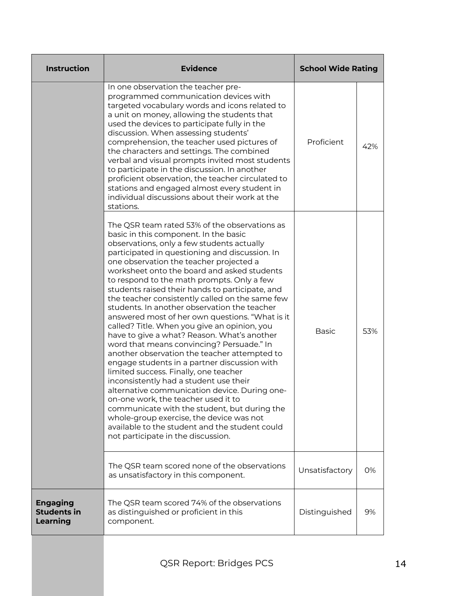| <b>Instruction</b>                                       | <b>Evidence</b>                                                                                                                                                                                                                                                                                                                                                                                                                                                                                                                                                                                                                                                                                                                                                                                                                                                                                                                                                                                                                                                                                                                                    | <b>School Wide Rating</b> |     |
|----------------------------------------------------------|----------------------------------------------------------------------------------------------------------------------------------------------------------------------------------------------------------------------------------------------------------------------------------------------------------------------------------------------------------------------------------------------------------------------------------------------------------------------------------------------------------------------------------------------------------------------------------------------------------------------------------------------------------------------------------------------------------------------------------------------------------------------------------------------------------------------------------------------------------------------------------------------------------------------------------------------------------------------------------------------------------------------------------------------------------------------------------------------------------------------------------------------------|---------------------------|-----|
|                                                          | In one observation the teacher pre-<br>programmed communication devices with<br>targeted vocabulary words and icons related to<br>a unit on money, allowing the students that<br>used the devices to participate fully in the<br>discussion. When assessing students'<br>comprehension, the teacher used pictures of<br>the characters and settings. The combined<br>verbal and visual prompts invited most students<br>to participate in the discussion. In another<br>proficient observation, the teacher circulated to<br>stations and engaged almost every student in<br>individual discussions about their work at the<br>stations.                                                                                                                                                                                                                                                                                                                                                                                                                                                                                                           | Proficient                | 42% |
|                                                          | The QSR team rated 53% of the observations as<br>basic in this component. In the basic<br>observations, only a few students actually<br>participated in questioning and discussion. In<br>one observation the teacher projected a<br>worksheet onto the board and asked students<br>to respond to the math prompts. Only a few<br>students raised their hands to participate, and<br>the teacher consistently called on the same few<br>students. In another observation the teacher<br>answered most of her own questions. "What is it<br>called? Title. When you give an opinion, you<br>have to give a what? Reason. What's another<br>word that means convincing? Persuade." In<br>another observation the teacher attempted to<br>engage students in a partner discussion with<br>limited success. Finally, one teacher<br>inconsistently had a student use their<br>alternative communication device. During one-<br>on-one work, the teacher used it to<br>communicate with the student, but during the<br>whole-group exercise, the device was not<br>available to the student and the student could<br>not participate in the discussion. | <b>Basic</b>              | 53% |
|                                                          | The QSR team scored none of the observations<br>as unsatisfactory in this component.                                                                                                                                                                                                                                                                                                                                                                                                                                                                                                                                                                                                                                                                                                                                                                                                                                                                                                                                                                                                                                                               | Unsatisfactory            | 0%  |
| <b>Engaging</b><br><b>Students in</b><br><b>Learning</b> | The QSR team scored 74% of the observations<br>as distinguished or proficient in this<br>component.                                                                                                                                                                                                                                                                                                                                                                                                                                                                                                                                                                                                                                                                                                                                                                                                                                                                                                                                                                                                                                                | Distinguished             | 9%  |
|                                                          |                                                                                                                                                                                                                                                                                                                                                                                                                                                                                                                                                                                                                                                                                                                                                                                                                                                                                                                                                                                                                                                                                                                                                    |                           |     |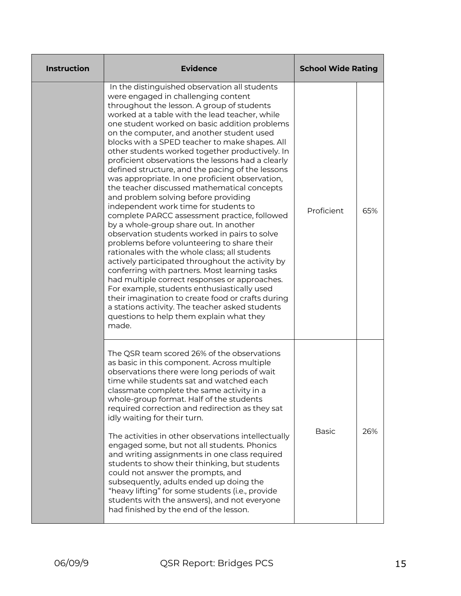| <b>Instruction</b> | <b>Evidence</b>                                                                                                                                                                                                                                                                                                                                                                                                                                                                                                                                                                                                                                                                                                                                                                                                                                                                                                                                                                                                                                                                                                                                                                                                                                                                                  | <b>School Wide Rating</b> |     |
|--------------------|--------------------------------------------------------------------------------------------------------------------------------------------------------------------------------------------------------------------------------------------------------------------------------------------------------------------------------------------------------------------------------------------------------------------------------------------------------------------------------------------------------------------------------------------------------------------------------------------------------------------------------------------------------------------------------------------------------------------------------------------------------------------------------------------------------------------------------------------------------------------------------------------------------------------------------------------------------------------------------------------------------------------------------------------------------------------------------------------------------------------------------------------------------------------------------------------------------------------------------------------------------------------------------------------------|---------------------------|-----|
|                    | In the distinguished observation all students<br>were engaged in challenging content<br>throughout the lesson. A group of students<br>worked at a table with the lead teacher, while<br>one student worked on basic addition problems<br>on the computer, and another student used<br>blocks with a SPED teacher to make shapes. All<br>other students worked together productively. In<br>proficient observations the lessons had a clearly<br>defined structure, and the pacing of the lessons<br>was appropriate. In one proficient observation,<br>the teacher discussed mathematical concepts<br>and problem solving before providing<br>independent work time for students to<br>complete PARCC assessment practice, followed<br>by a whole-group share out. In another<br>observation students worked in pairs to solve<br>problems before volunteering to share their<br>rationales with the whole class; all students<br>actively participated throughout the activity by<br>conferring with partners. Most learning tasks<br>had multiple correct responses or approaches.<br>For example, students enthusiastically used<br>their imagination to create food or crafts during<br>a stations activity. The teacher asked students<br>questions to help them explain what they<br>made. | Proficient                | 65% |
|                    | The QSR team scored 26% of the observations<br>as basic in this component. Across multiple<br>observations there were long periods of wait<br>time while students sat and watched each<br>classmate complete the same activity in a<br>whole-group format. Half of the students<br>required correction and redirection as they sat<br>idly waiting for their turn.<br>The activities in other observations intellectually<br>engaged some, but not all students. Phonics<br>and writing assignments in one class required<br>students to show their thinking, but students<br>could not answer the prompts, and<br>subsequently, adults ended up doing the<br>"heavy lifting" for some students (i.e., provide<br>students with the answers), and not everyone<br>had finished by the end of the lesson.                                                                                                                                                                                                                                                                                                                                                                                                                                                                                         | <b>Basic</b>              | 26% |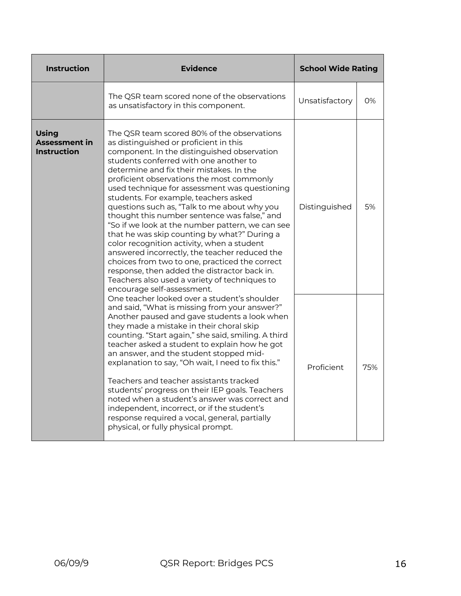| <b>Instruction</b>                                         | <b>Evidence</b>                                                                                                                                                                                                                                                                                                                                                                                                                                                                                                                                                                                                                                                                                                                                                                                                                                       | <b>School Wide Rating</b> |     |
|------------------------------------------------------------|-------------------------------------------------------------------------------------------------------------------------------------------------------------------------------------------------------------------------------------------------------------------------------------------------------------------------------------------------------------------------------------------------------------------------------------------------------------------------------------------------------------------------------------------------------------------------------------------------------------------------------------------------------------------------------------------------------------------------------------------------------------------------------------------------------------------------------------------------------|---------------------------|-----|
|                                                            | The QSR team scored none of the observations<br>as unsatisfactory in this component.                                                                                                                                                                                                                                                                                                                                                                                                                                                                                                                                                                                                                                                                                                                                                                  | Unsatisfactory            | 0%  |
| <b>Using</b><br><b>Assessment in</b><br><b>Instruction</b> | The QSR team scored 80% of the observations<br>as distinguished or proficient in this<br>component. In the distinguished observation<br>students conferred with one another to<br>determine and fix their mistakes. In the<br>proficient observations the most commonly<br>used technique for assessment was questioning<br>students. For example, teachers asked<br>questions such as, "Talk to me about why you<br>thought this number sentence was false," and<br>"So if we look at the number pattern, we can see<br>that he was skip counting by what?" During a<br>color recognition activity, when a student<br>answered incorrectly, the teacher reduced the<br>choices from two to one, practiced the correct<br>response, then added the distractor back in.<br>Teachers also used a variety of techniques to<br>encourage self-assessment. | Distinguished             | 5%  |
|                                                            | One teacher looked over a student's shoulder<br>and said, "What is missing from your answer?"<br>Another paused and gave students a look when<br>they made a mistake in their choral skip<br>counting. "Start again," she said, smiling. A third<br>teacher asked a student to explain how he got<br>an answer, and the student stopped mid-<br>explanation to say, "Oh wait, I need to fix this."<br>Teachers and teacher assistants tracked<br>students' progress on their IEP goals. Teachers<br>noted when a student's answer was correct and<br>independent, incorrect, or if the student's<br>response required a vocal, general, partially<br>physical, or fully physical prompt.                                                                                                                                                              | Proficient                | 75% |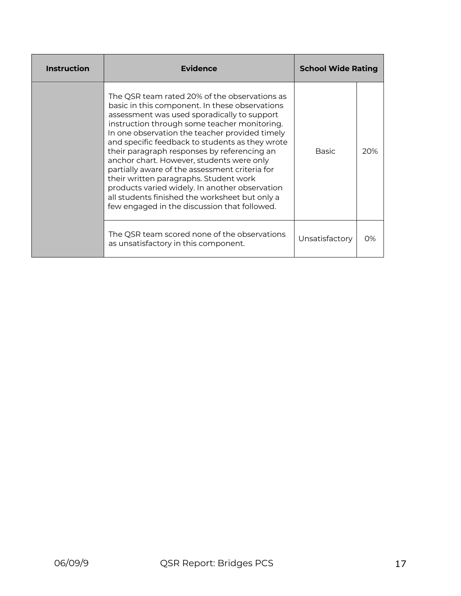| <b>Instruction</b> | <b>Evidence</b>                                                                                                                                                                                                                                                                                                                                                                                                                                                                                                                                                                                                                                 | <b>School Wide Rating</b> |     |
|--------------------|-------------------------------------------------------------------------------------------------------------------------------------------------------------------------------------------------------------------------------------------------------------------------------------------------------------------------------------------------------------------------------------------------------------------------------------------------------------------------------------------------------------------------------------------------------------------------------------------------------------------------------------------------|---------------------------|-----|
|                    | The QSR team rated 20% of the observations as<br>basic in this component. In these observations<br>assessment was used sporadically to support<br>instruction through some teacher monitoring.<br>In one observation the teacher provided timely<br>and specific feedback to students as they wrote<br>their paragraph responses by referencing an<br>anchor chart. However, students were only<br>partially aware of the assessment criteria for<br>their written paragraphs. Student work<br>products varied widely. In another observation<br>all students finished the worksheet but only a<br>few engaged in the discussion that followed. | <b>Basic</b>              | 20% |
|                    | The QSR team scored none of the observations<br>as unsatisfactory in this component.                                                                                                                                                                                                                                                                                                                                                                                                                                                                                                                                                            | Unsatisfactory            | 0%  |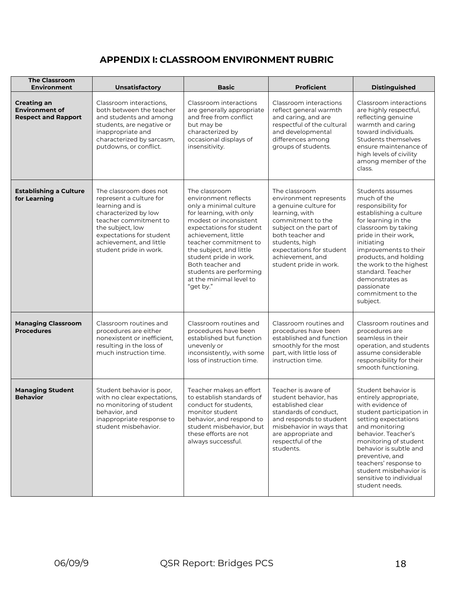# **APPENDIX I: CLASSROOM ENVIRONMENT RUBRIC**

| <b>The Classroom</b><br><b>Environment</b>                                | Unsatisfactory                                                                                                                                                                                                             | <b>Basic</b>                                                                                                                                                                                                                                                                                                                                 | <b>Proficient</b>                                                                                                                                                                                                                                 | <b>Distinguished</b>                                                                                                                                                                                                                                                                                                                    |  |
|---------------------------------------------------------------------------|----------------------------------------------------------------------------------------------------------------------------------------------------------------------------------------------------------------------------|----------------------------------------------------------------------------------------------------------------------------------------------------------------------------------------------------------------------------------------------------------------------------------------------------------------------------------------------|---------------------------------------------------------------------------------------------------------------------------------------------------------------------------------------------------------------------------------------------------|-----------------------------------------------------------------------------------------------------------------------------------------------------------------------------------------------------------------------------------------------------------------------------------------------------------------------------------------|--|
| <b>Creating an</b><br><b>Environment of</b><br><b>Respect and Rapport</b> | Classroom interactions.<br>both between the teacher<br>and students and among<br>students, are negative or<br>inappropriate and<br>characterized by sarcasm,<br>putdowns, or conflict.                                     | Classroom interactions<br>are generally appropriate<br>and free from conflict<br>but may be<br>characterized by<br>occasional displays of<br>insensitivity.                                                                                                                                                                                  | Classroom interactions<br>reflect general warmth<br>and caring, and are<br>respectful of the cultural<br>and developmental<br>differences among<br>groups of students.                                                                            | Classroom interactions<br>are highly respectful,<br>reflecting genuine<br>warmth and caring<br>toward individuals.<br>Students themselves<br>ensure maintenance of<br>high levels of civility<br>among member of the<br>class.                                                                                                          |  |
| <b>Establishing a Culture</b><br>for Learning                             | The classroom does not<br>represent a culture for<br>learning and is<br>characterized by low<br>teacher commitment to<br>the subject, low<br>expectations for student<br>achievement, and little<br>student pride in work. | The classroom<br>environment reflects<br>only a minimal culture<br>for learning, with only<br>modest or inconsistent<br>expectations for student<br>achievement, little<br>teacher commitment to<br>the subject, and little<br>student pride in work.<br>Both teacher and<br>students are performing<br>at the minimal level to<br>"get by." | The classroom<br>environment represents<br>a genuine culture for<br>learning, with<br>commitment to the<br>subject on the part of<br>both teacher and<br>students, high<br>expectations for student<br>achievement, and<br>student pride in work. | Students assumes<br>much of the<br>responsibility for<br>establishing a culture<br>for learning in the<br>classroom by taking<br>pride in their work,<br>initiating<br>improvements to their<br>products, and holding<br>the work to the highest<br>standard. Teacher<br>demonstrates as<br>passionate<br>commitment to the<br>subject. |  |
| <b>Managing Classroom</b><br><b>Procedures</b>                            | Classroom routines and<br>procedures are either<br>nonexistent or inefficient,<br>resulting in the loss of<br>much instruction time.                                                                                       | Classroom routines and<br>procedures have been<br>established but function<br>unevenly or<br>inconsistently, with some<br>loss of instruction time.                                                                                                                                                                                          | Classroom routines and<br>procedures have been<br>established and function<br>smoothly for the most<br>part, with little loss of<br>instruction time.                                                                                             | Classroom routines and<br>procedures are<br>seamless in their<br>operation, and students<br>assume considerable<br>responsibility for their<br>smooth functioning.                                                                                                                                                                      |  |
| <b>Managing Student</b><br><b>Behavior</b>                                | Student behavior is poor,<br>with no clear expectations,<br>no monitoring of student<br>behavior, and<br>inappropriate response to<br>student misbehavior.                                                                 | Teacher makes an effort<br>to establish standards of<br>conduct for students,<br>monitor student<br>behavior, and respond to<br>student misbehavior, but<br>these efforts are not<br>always successful.                                                                                                                                      | Teacher is aware of<br>student behavior, has<br>established clear<br>standards of conduct,<br>and responds to student<br>misbehavior in ways that<br>are appropriate and<br>respectful of the<br>students.                                        | Student behavior is<br>entirely appropriate,<br>with evidence of<br>student participation in<br>setting expectations<br>and monitoring<br>behavior. Teacher's<br>monitoring of student<br>behavior is subtle and<br>preventive, and<br>teachers' response to<br>student misbehavior is<br>sensitive to individual<br>student needs.     |  |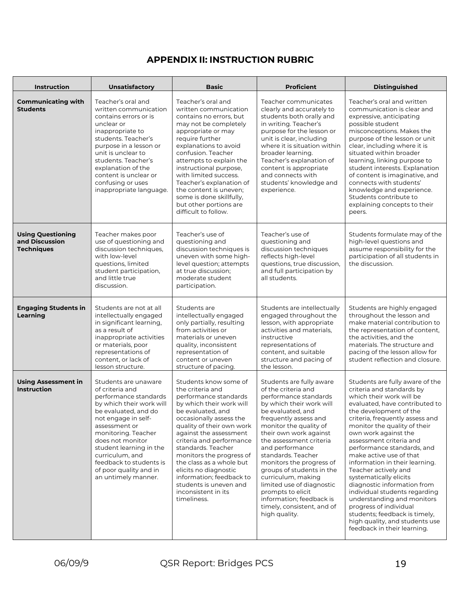# **APPENDIX II: INSTRUCTION RUBRIC**

| Instruction                                                     | Unsatisfactory                                                                                                                                                                                                                                                                                                                    | <b>Basic</b>                                                                                                                                                                                                                                                                                                                                                                                                                         | <b>Proficient</b>                                                                                                                                                                                                                                                                                                                                                                                                                                                                      | <b>Distinguished</b>                                                                                                                                                                                                                                                                                                                                                                                                                                                                                                                                                                                                                              |  |
|-----------------------------------------------------------------|-----------------------------------------------------------------------------------------------------------------------------------------------------------------------------------------------------------------------------------------------------------------------------------------------------------------------------------|--------------------------------------------------------------------------------------------------------------------------------------------------------------------------------------------------------------------------------------------------------------------------------------------------------------------------------------------------------------------------------------------------------------------------------------|----------------------------------------------------------------------------------------------------------------------------------------------------------------------------------------------------------------------------------------------------------------------------------------------------------------------------------------------------------------------------------------------------------------------------------------------------------------------------------------|---------------------------------------------------------------------------------------------------------------------------------------------------------------------------------------------------------------------------------------------------------------------------------------------------------------------------------------------------------------------------------------------------------------------------------------------------------------------------------------------------------------------------------------------------------------------------------------------------------------------------------------------------|--|
| <b>Communicating with</b><br><b>Students</b>                    | Teacher's oral and<br>written communication<br>contains errors or is<br>unclear or<br>inappropriate to<br>students. Teacher's<br>purpose in a lesson or<br>unit is unclear to<br>students. Teacher's<br>explanation of the<br>content is unclear or<br>confusing or uses<br>inappropriate language.                               | Teacher's oral and<br>written communication<br>contains no errors, but<br>may not be completely<br>appropriate or may<br>require further<br>explanations to avoid<br>confusion. Teacher<br>attempts to explain the<br>instructional purpose,<br>with limited success.<br>Teacher's explanation of<br>the content is uneven;<br>some is done skillfully,<br>but other portions are<br>difficult to follow.                            | Teacher communicates<br>clearly and accurately to<br>students both orally and<br>in writing. Teacher's<br>purpose for the lesson or<br>unit is clear, including<br>where it is situation within<br>broader learning.<br>Teacher's explanation of<br>content is appropriate<br>and connects with<br>students' knowledge and<br>experience.                                                                                                                                              | Teacher's oral and written<br>communication is clear and<br>expressive, anticipating<br>possible student<br>misconceptions. Makes the<br>purpose of the lesson or unit<br>clear, including where it is<br>situated within broader<br>learning, linking purpose to<br>student interests. Explanation<br>of content is imaginative, and<br>connects with students'<br>knowledge and experience.<br>Students contribute to<br>explaining concepts to their<br>peers.                                                                                                                                                                                 |  |
| <b>Using Questioning</b><br>and Discussion<br><b>Techniques</b> | Teacher makes poor<br>use of questioning and<br>discussion techniques.<br>with low-level<br>questions, limited<br>student participation,<br>and little true<br>discussion.                                                                                                                                                        | Teacher's use of<br>questioning and<br>discussion techniques is<br>uneven with some high-<br>level question; attempts<br>at true discussion;<br>moderate student<br>participation.                                                                                                                                                                                                                                                   | Teacher's use of<br>questioning and<br>discussion techniques<br>reflects high-level<br>questions, true discussion,<br>and full participation by<br>all students.                                                                                                                                                                                                                                                                                                                       | Students formulate may of the<br>high-level questions and<br>assume responsibility for the<br>participation of all students in<br>the discussion.                                                                                                                                                                                                                                                                                                                                                                                                                                                                                                 |  |
| <b>Engaging Students in</b><br>Learning                         | Students are not at all<br>intellectually engaged<br>in significant learning,<br>as a result of<br>inappropriate activities<br>or materials, poor<br>representations of<br>content, or lack of<br>lesson structure.                                                                                                               | Students are<br>intellectually engaged<br>only partially, resulting<br>from activities or<br>materials or uneven<br>quality, inconsistent<br>representation of<br>content or uneven<br>structure of pacing.                                                                                                                                                                                                                          | Students are intellectually<br>engaged throughout the<br>lesson, with appropriate<br>activities and materials,<br>instructive<br>representations of<br>content, and suitable<br>structure and pacing of<br>the lesson.                                                                                                                                                                                                                                                                 | Students are highly engaged<br>throughout the lesson and<br>make material contribution to<br>the representation of content,<br>the activities, and the<br>materials. The structure and<br>pacing of the lesson allow for<br>student reflection and closure.                                                                                                                                                                                                                                                                                                                                                                                       |  |
| <b>Using Assessment in</b><br><b>Instruction</b>                | Students are unaware<br>of criteria and<br>performance standards<br>by which their work will<br>be evaluated, and do<br>not engage in self-<br>assessment or<br>monitoring. Teacher<br>does not monitor<br>student learning in the<br>curriculum, and<br>feedback to students is<br>of poor quality and in<br>an untimely manner. | Students know some of<br>the criteria and<br>performance standards<br>by which their work will<br>be evaluated, and<br>occasionally assess the<br>quality of their own work<br>against the assessment<br>criteria and performance<br>standards. Teacher<br>monitors the progress of<br>the class as a whole but<br>elicits no diagnostic<br>information; feedback to<br>students is uneven and<br>inconsistent in its<br>timeliness. | Students are fully aware<br>of the criteria and<br>performance standards<br>by which their work will<br>be evaluated, and<br>frequently assess and<br>monitor the quality of<br>their own work against<br>the assessment criteria<br>and performance<br>standards. Teacher<br>monitors the progress of<br>groups of students in the<br>curriculum, making<br>limited use of diagnostic<br>prompts to elicit<br>information; feedback is<br>timely, consistent, and of<br>high quality. | Students are fully aware of the<br>criteria and standards by<br>which their work will be<br>evaluated, have contributed to<br>the development of the<br>criteria, frequently assess and<br>monitor the quality of their<br>own work against the<br>assessment criteria and<br>performance standards, and<br>make active use of that<br>information in their learning.<br>Teacher actively and<br>systematically elicits<br>diagnostic information from<br>individual students regarding<br>understanding and monitors<br>progress of individual<br>students; feedback is timely,<br>high quality, and students use<br>feedback in their learning. |  |